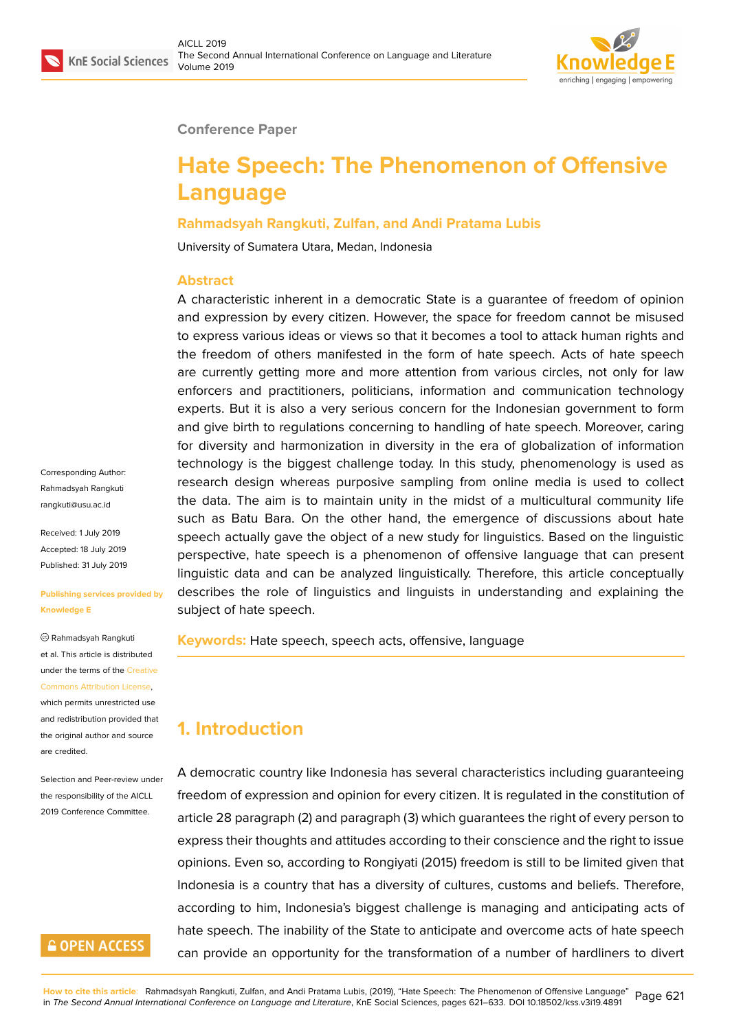

#### **Conference Paper**

# **Hate Speech: The Phenomenon of Offensive Language**

#### **Rahmadsyah Rangkuti, Zulfan, and Andi Pratama Lubis**

University of Sumatera Utara, Medan, Indonesia

#### **Abstract**

A characteristic inherent in a democratic State is a guarantee of freedom of opinion and expression by every citizen. However, the space for freedom cannot be misused to express various ideas or views so that it becomes a tool to attack human rights and the freedom of others manifested in the form of hate speech. Acts of hate speech are currently getting more and more attention from various circles, not only for law enforcers and practitioners, politicians, information and communication technology experts. But it is also a very serious concern for the Indonesian government to form and give birth to regulations concerning to handling of hate speech. Moreover, caring for diversity and harmonization in diversity in the era of globalization of information technology is the biggest challenge today. In this study, phenomenology is used as research design whereas purposive sampling from online media is used to collect the data. The aim is to maintain unity in the midst of a multicultural community life such as Batu Bara. On the other hand, the emergence of discussions about hate speech actually gave the object of a new study for linguistics. Based on the linguistic perspective, hate speech is a phenomenon of offensive language that can present linguistic data and can be analyzed linguistically. Therefore, this article conceptually describes the role of linguistics and linguists in understanding and explaining the subject of hate speech.

**Keywords:** Hate speech, speech acts, offensive, language

### **1. Introduction**

A democratic country like Indonesia has several characteristics including guaranteeing freedom of expression and opinion for every citizen. It is regulated in the constitution of article 28 paragraph (2) and paragraph (3) which guarantees the right of every person to express their thoughts and attitudes according to their conscience and the right to issue opinions. Even so, according to Rongiyati (2015) freedom is still to be limited given that Indonesia is a country that has a diversity of cultures, customs and beliefs. Therefore, according to him, Indonesia's biggest challenge is managing and anticipating acts of hate speech. The inability of the State to anticipate and overcome acts of hate speech can provide an opportunity for the transformation of a number of hardliners to divert

Corresponding Author: Rahmadsyah Rangkuti rangkuti@usu.ac.id

Received: 1 July 2019 Accepted: 18 July 2019 [Published: 31 July 2](mailto:rangkuti@usu.ac.id)019

#### **Publishing services provided by Knowledge E**

Rahmadsyah Rangkuti et al. This article is distributed under the terms of the Creative Commons Attribution License, which permits unrestricted use and redistribution provided that the original author and [source](https://creativecommons.org/licenses/by/4.0/) [are credited.](https://creativecommons.org/licenses/by/4.0/)

Selection and Peer-review under the responsibility of the AICLL 2019 Conference Committee.

#### **GOPEN ACCESS**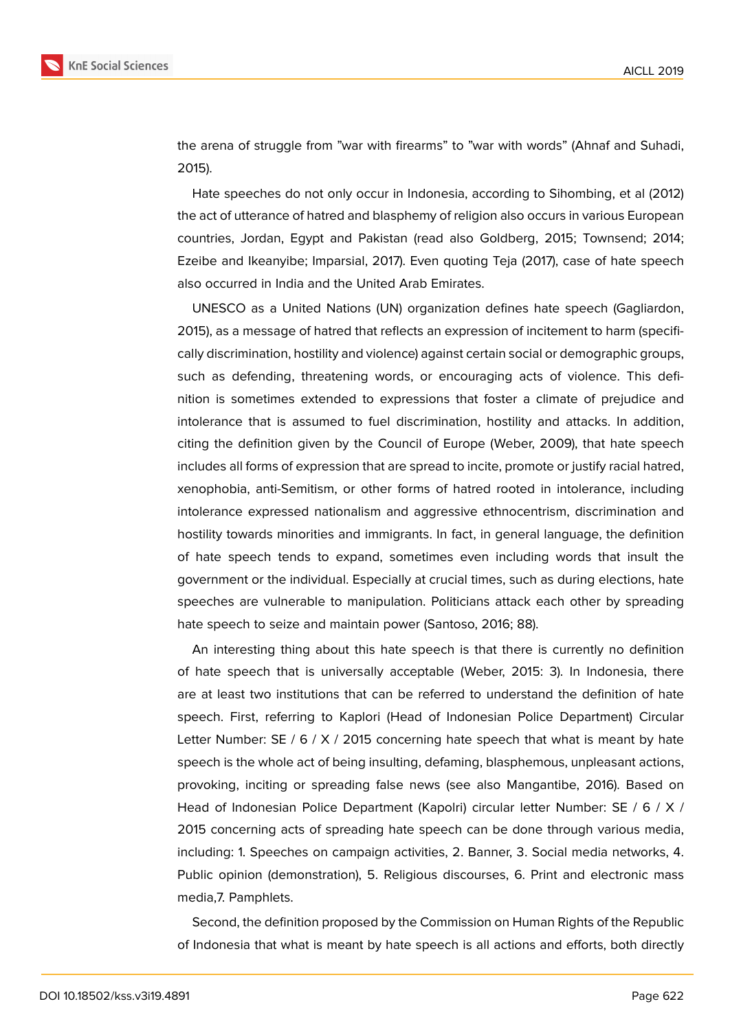

the arena of struggle from "war with firearms" to "war with words" (Ahnaf and Suhadi, 2015).

Hate speeches do not only occur in Indonesia, according to Sihombing, et al (2012) the act of utterance of hatred and blasphemy of religion also occurs in various European countries, Jordan, Egypt and Pakistan (read also Goldberg, 2015; Townsend; 2014; Ezeibe and Ikeanyibe; Imparsial, 2017). Even quoting Teja (2017), case of hate speech also occurred in India and the United Arab Emirates.

UNESCO as a United Nations (UN) organization defines hate speech (Gagliardon, 2015), as a message of hatred that reflects an expression of incitement to harm (specifically discrimination, hostility and violence) against certain social or demographic groups, such as defending, threatening words, or encouraging acts of violence. This definition is sometimes extended to expressions that foster a climate of prejudice and intolerance that is assumed to fuel discrimination, hostility and attacks. In addition, citing the definition given by the Council of Europe (Weber, 2009), that hate speech includes all forms of expression that are spread to incite, promote or justify racial hatred, xenophobia, anti-Semitism, or other forms of hatred rooted in intolerance, including intolerance expressed nationalism and aggressive ethnocentrism, discrimination and hostility towards minorities and immigrants. In fact, in general language, the definition of hate speech tends to expand, sometimes even including words that insult the government or the individual. Especially at crucial times, such as during elections, hate speeches are vulnerable to manipulation. Politicians attack each other by spreading hate speech to seize and maintain power (Santoso, 2016; 88).

An interesting thing about this hate speech is that there is currently no definition of hate speech that is universally acceptable (Weber, 2015: 3). In Indonesia, there are at least two institutions that can be referred to understand the definition of hate speech. First, referring to Kaplori (Head of Indonesian Police Department) Circular Letter Number: SE / 6 / X / 2015 concerning hate speech that what is meant by hate speech is the whole act of being insulting, defaming, blasphemous, unpleasant actions, provoking, inciting or spreading false news (see also Mangantibe, 2016). Based on Head of Indonesian Police Department (Kapolri) circular letter Number: SE / 6 / X / 2015 concerning acts of spreading hate speech can be done through various media, including: 1. Speeches on campaign activities, 2. Banner, 3. Social media networks, 4. Public opinion (demonstration), 5. Religious discourses, 6. Print and electronic mass media,7. Pamphlets.

Second, the definition proposed by the Commission on Human Rights of the Republic of Indonesia that what is meant by hate speech is all actions and efforts, both directly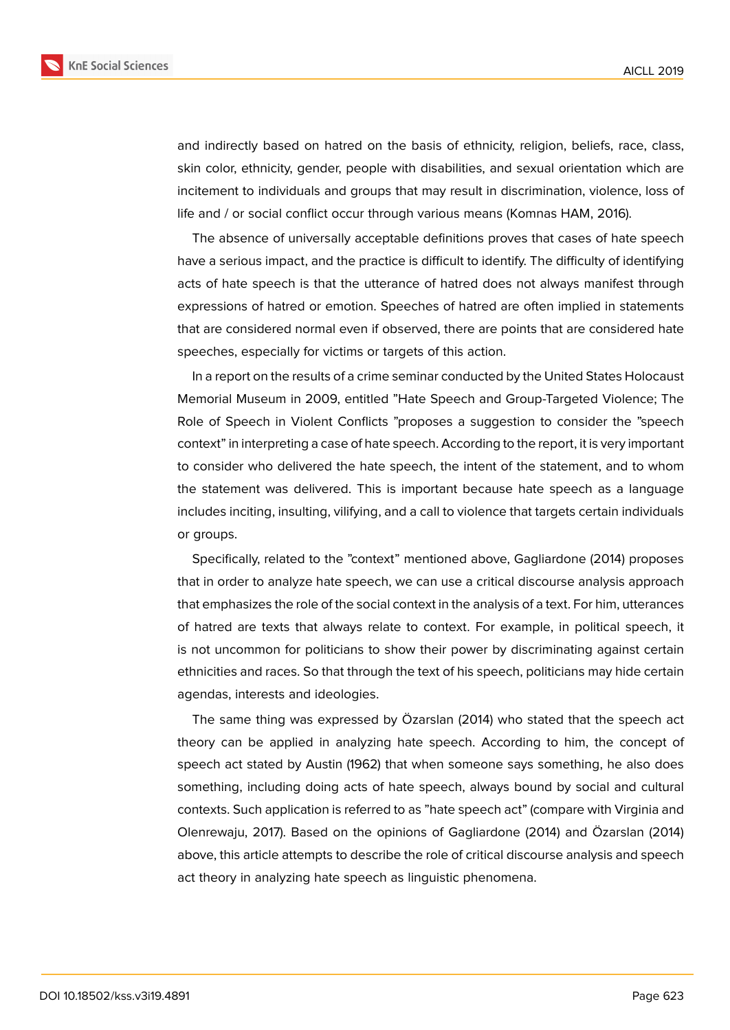

and indirectly based on hatred on the basis of ethnicity, religion, beliefs, race, class, skin color, ethnicity, gender, people with disabilities, and sexual orientation which are incitement to individuals and groups that may result in discrimination, violence, loss of life and / or social conflict occur through various means (Komnas HAM, 2016).

The absence of universally acceptable definitions proves that cases of hate speech have a serious impact, and the practice is difficult to identify. The difficulty of identifying acts of hate speech is that the utterance of hatred does not always manifest through expressions of hatred or emotion. Speeches of hatred are often implied in statements that are considered normal even if observed, there are points that are considered hate speeches, especially for victims or targets of this action.

In a report on the results of a crime seminar conducted by the United States Holocaust Memorial Museum in 2009, entitled "Hate Speech and Group-Targeted Violence; The Role of Speech in Violent Conflicts "proposes a suggestion to consider the "speech context" in interpreting a case of hate speech. According to the report, it is very important to consider who delivered the hate speech, the intent of the statement, and to whom the statement was delivered. This is important because hate speech as a language includes inciting, insulting, vilifying, and a call to violence that targets certain individuals or groups.

Specifically, related to the "context" mentioned above, Gagliardone (2014) proposes that in order to analyze hate speech, we can use a critical discourse analysis approach that emphasizes the role of the social context in the analysis of a text. For him, utterances of hatred are texts that always relate to context. For example, in political speech, it is not uncommon for politicians to show their power by discriminating against certain ethnicities and races. So that through the text of his speech, politicians may hide certain agendas, interests and ideologies.

The same thing was expressed by Özarslan (2014) who stated that the speech act theory can be applied in analyzing hate speech. According to him, the concept of speech act stated by Austin (1962) that when someone says something, he also does something, including doing acts of hate speech, always bound by social and cultural contexts. Such application is referred to as "hate speech act" (compare with Virginia and Olenrewaju, 2017). Based on the opinions of Gagliardone (2014) and Özarslan (2014) above, this article attempts to describe the role of critical discourse analysis and speech act theory in analyzing hate speech as linguistic phenomena.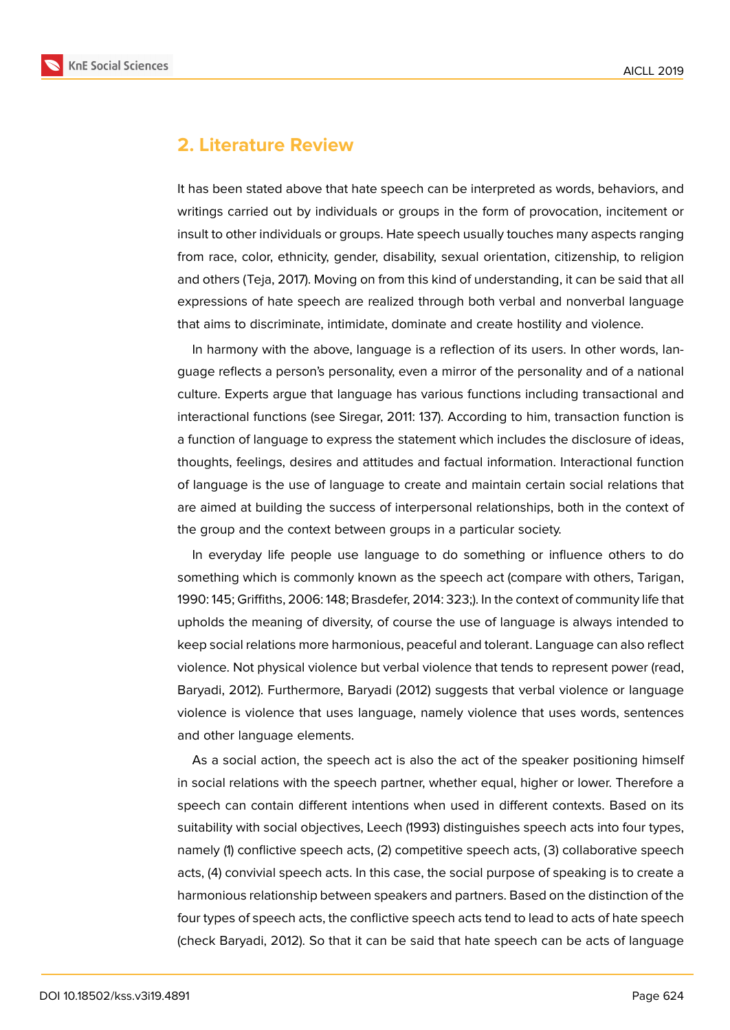

#### **2. Literature Review**

It has been stated above that hate speech can be interpreted as words, behaviors, and writings carried out by individuals or groups in the form of provocation, incitement or insult to other individuals or groups. Hate speech usually touches many aspects ranging from race, color, ethnicity, gender, disability, sexual orientation, citizenship, to religion and others (Teja, 2017). Moving on from this kind of understanding, it can be said that all expressions of hate speech are realized through both verbal and nonverbal language that aims to discriminate, intimidate, dominate and create hostility and violence.

In harmony with the above, language is a reflection of its users. In other words, language reflects a person's personality, even a mirror of the personality and of a national culture. Experts argue that language has various functions including transactional and interactional functions (see Siregar, 2011: 137). According to him, transaction function is a function of language to express the statement which includes the disclosure of ideas, thoughts, feelings, desires and attitudes and factual information. Interactional function of language is the use of language to create and maintain certain social relations that are aimed at building the success of interpersonal relationships, both in the context of the group and the context between groups in a particular society.

In everyday life people use language to do something or influence others to do something which is commonly known as the speech act (compare with others, Tarigan, 1990: 145; Griffiths, 2006: 148; Brasdefer, 2014: 323;). In the context of community life that upholds the meaning of diversity, of course the use of language is always intended to keep social relations more harmonious, peaceful and tolerant. Language can also reflect violence. Not physical violence but verbal violence that tends to represent power (read, Baryadi, 2012). Furthermore, Baryadi (2012) suggests that verbal violence or language violence is violence that uses language, namely violence that uses words, sentences and other language elements.

As a social action, the speech act is also the act of the speaker positioning himself in social relations with the speech partner, whether equal, higher or lower. Therefore a speech can contain different intentions when used in different contexts. Based on its suitability with social objectives, Leech (1993) distinguishes speech acts into four types, namely (1) conflictive speech acts, (2) competitive speech acts, (3) collaborative speech acts, (4) convivial speech acts. In this case, the social purpose of speaking is to create a harmonious relationship between speakers and partners. Based on the distinction of the four types of speech acts, the conflictive speech acts tend to lead to acts of hate speech (check Baryadi, 2012). So that it can be said that hate speech can be acts of language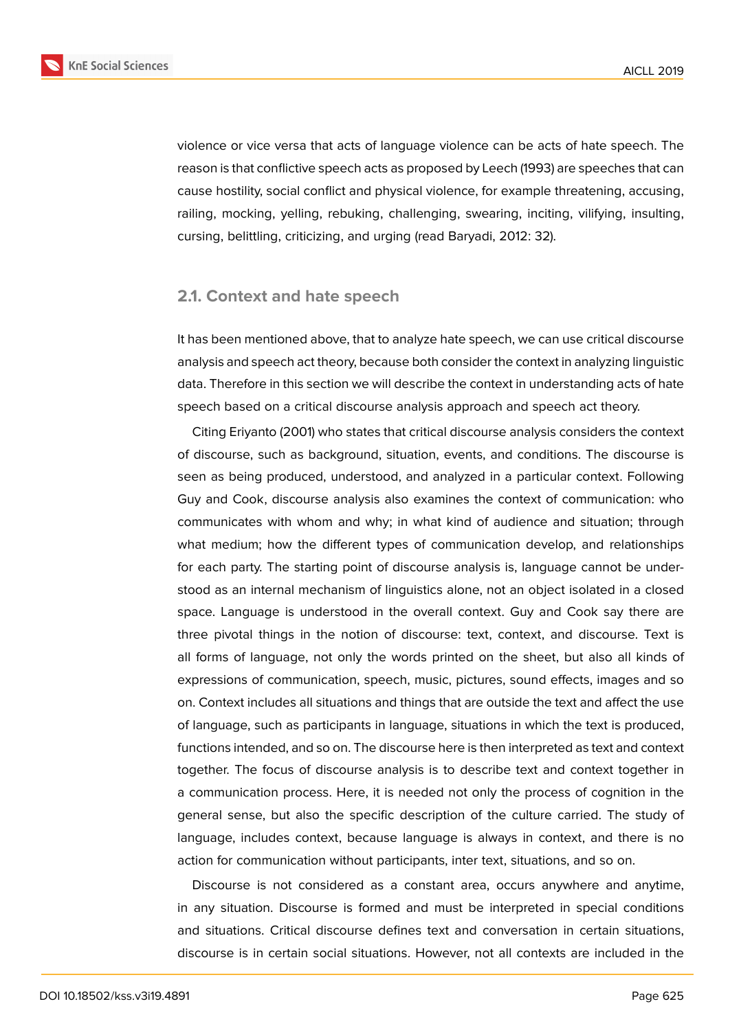

violence or vice versa that acts of language violence can be acts of hate speech. The reason is that conflictive speech acts as proposed by Leech (1993) are speeches that can cause hostility, social conflict and physical violence, for example threatening, accusing, railing, mocking, yelling, rebuking, challenging, swearing, inciting, vilifying, insulting, cursing, belittling, criticizing, and urging (read Baryadi, 2012: 32).

#### **2.1. Context and hate speech**

It has been mentioned above, that to analyze hate speech, we can use critical discourse analysis and speech act theory, because both consider the context in analyzing linguistic data. Therefore in this section we will describe the context in understanding acts of hate speech based on a critical discourse analysis approach and speech act theory.

Citing Eriyanto (2001) who states that critical discourse analysis considers the context of discourse, such as background, situation, events, and conditions. The discourse is seen as being produced, understood, and analyzed in a particular context. Following Guy and Cook, discourse analysis also examines the context of communication: who communicates with whom and why; in what kind of audience and situation; through what medium; how the different types of communication develop, and relationships for each party. The starting point of discourse analysis is, language cannot be understood as an internal mechanism of linguistics alone, not an object isolated in a closed space. Language is understood in the overall context. Guy and Cook say there are three pivotal things in the notion of discourse: text, context, and discourse. Text is all forms of language, not only the words printed on the sheet, but also all kinds of expressions of communication, speech, music, pictures, sound effects, images and so on. Context includes all situations and things that are outside the text and affect the use of language, such as participants in language, situations in which the text is produced, functions intended, and so on. The discourse here is then interpreted as text and context together. The focus of discourse analysis is to describe text and context together in a communication process. Here, it is needed not only the process of cognition in the general sense, but also the specific description of the culture carried. The study of language, includes context, because language is always in context, and there is no action for communication without participants, inter text, situations, and so on.

Discourse is not considered as a constant area, occurs anywhere and anytime, in any situation. Discourse is formed and must be interpreted in special conditions and situations. Critical discourse defines text and conversation in certain situations, discourse is in certain social situations. However, not all contexts are included in the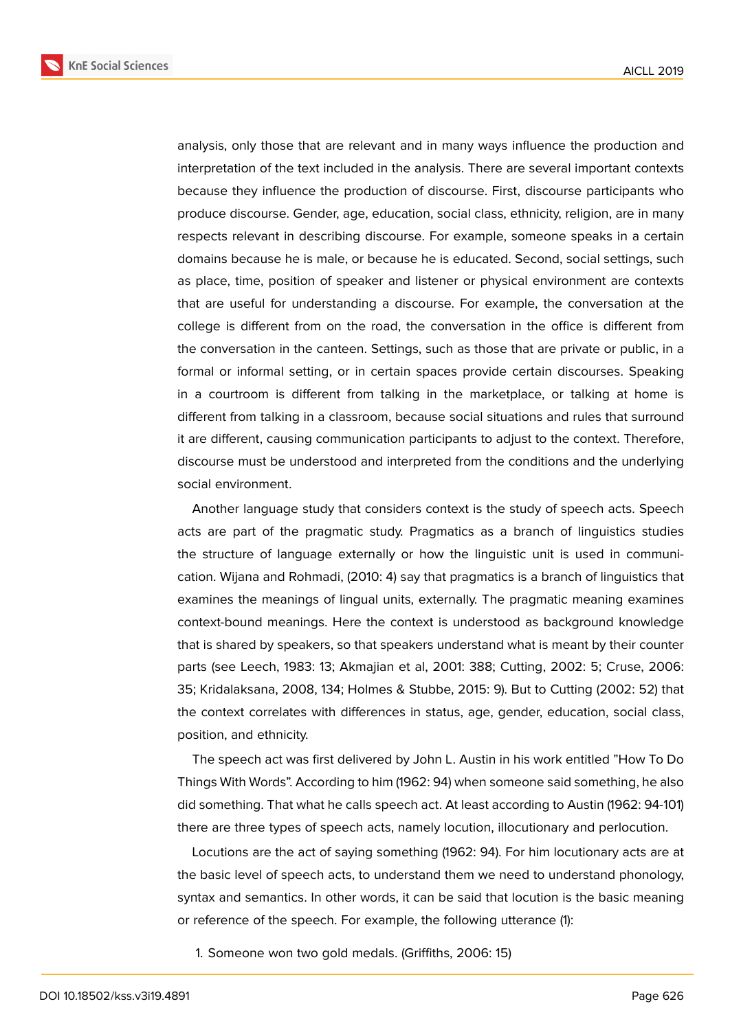

analysis, only those that are relevant and in many ways influence the production and interpretation of the text included in the analysis. There are several important contexts because they influence the production of discourse. First, discourse participants who produce discourse. Gender, age, education, social class, ethnicity, religion, are in many respects relevant in describing discourse. For example, someone speaks in a certain domains because he is male, or because he is educated. Second, social settings, such as place, time, position of speaker and listener or physical environment are contexts that are useful for understanding a discourse. For example, the conversation at the college is different from on the road, the conversation in the office is different from the conversation in the canteen. Settings, such as those that are private or public, in a formal or informal setting, or in certain spaces provide certain discourses. Speaking in a courtroom is different from talking in the marketplace, or talking at home is different from talking in a classroom, because social situations and rules that surround it are different, causing communication participants to adjust to the context. Therefore,

social environment. Another language study that considers context is the study of speech acts. Speech acts are part of the pragmatic study. Pragmatics as a branch of linguistics studies the structure of language externally or how the linguistic unit is used in communication. Wijana and Rohmadi, (2010: 4) say that pragmatics is a branch of linguistics that examines the meanings of lingual units, externally. The pragmatic meaning examines context-bound meanings. Here the context is understood as background knowledge that is shared by speakers, so that speakers understand what is meant by their counter parts (see Leech, 1983: 13; Akmajian et al, 2001: 388; Cutting, 2002: 5; Cruse, 2006: 35; Kridalaksana, 2008, 134; Holmes & Stubbe, 2015: 9). But to Cutting (2002: 52) that the context correlates with differences in status, age, gender, education, social class, position, and ethnicity.

discourse must be understood and interpreted from the conditions and the underlying

The speech act was first delivered by John L. Austin in his work entitled "How To Do Things With Words". According to him (1962: 94) when someone said something, he also did something. That what he calls speech act. At least according to Austin (1962: 94-101) there are three types of speech acts, namely locution, illocutionary and perlocution.

Locutions are the act of saying something (1962: 94). For him locutionary acts are at the basic level of speech acts, to understand them we need to understand phonology, syntax and semantics. In other words, it can be said that locution is the basic meaning or reference of the speech. For example, the following utterance (1):

1. Someone won two gold medals. (Griffiths, 2006: 15)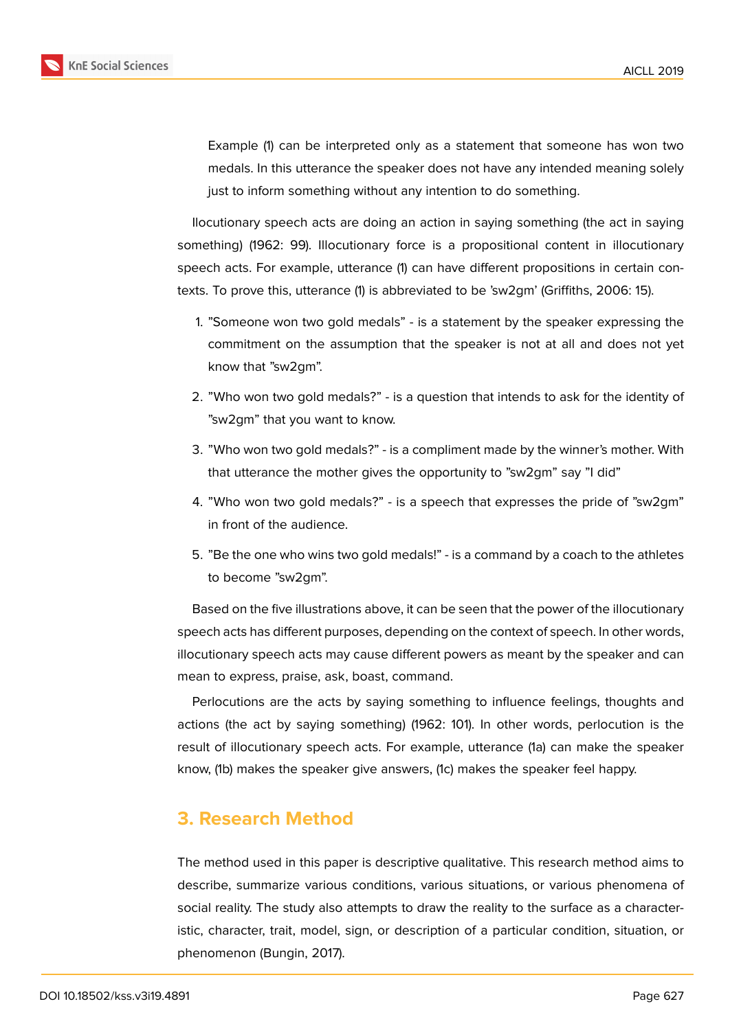

Example (1) can be interpreted only as a statement that someone has won two medals. In this utterance the speaker does not have any intended meaning solely just to inform something without any intention to do something.

Ilocutionary speech acts are doing an action in saying something (the act in saying something) (1962: 99). Illocutionary force is a propositional content in illocutionary speech acts. For example, utterance (1) can have different propositions in certain contexts. To prove this, utterance (1) is abbreviated to be 'sw2gm' (Griffiths, 2006: 15).

- 1. "Someone won two gold medals" is a statement by the speaker expressing the commitment on the assumption that the speaker is not at all and does not yet know that "sw2gm".
- 2. "Who won two gold medals?" is a question that intends to ask for the identity of "sw2gm" that you want to know.
- 3. "Who won two gold medals?" is a compliment made by the winner's mother. With that utterance the mother gives the opportunity to "sw2gm" say "I did"
- 4. "Who won two gold medals?" is a speech that expresses the pride of "sw2gm" in front of the audience.
- 5. "Be the one who wins two gold medals!" is a command by a coach to the athletes to become "sw2gm".

Based on the five illustrations above, it can be seen that the power of the illocutionary speech acts has different purposes, depending on the context of speech. In other words, illocutionary speech acts may cause different powers as meant by the speaker and can mean to express, praise, ask, boast, command.

Perlocutions are the acts by saying something to influence feelings, thoughts and actions (the act by saying something) (1962: 101). In other words, perlocution is the result of illocutionary speech acts. For example, utterance (1a) can make the speaker know, (1b) makes the speaker give answers, (1c) makes the speaker feel happy.

### **3. Research Method**

The method used in this paper is descriptive qualitative. This research method aims to describe, summarize various conditions, various situations, or various phenomena of social reality. The study also attempts to draw the reality to the surface as a characteristic, character, trait, model, sign, or description of a particular condition, situation, or phenomenon (Bungin, 2017).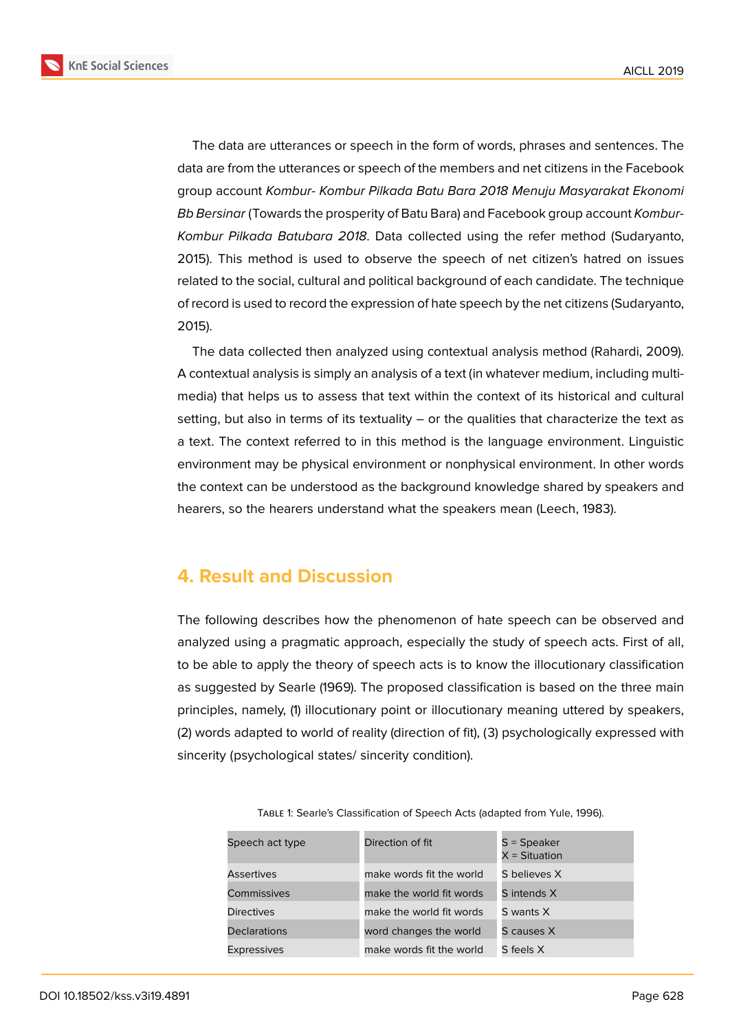

The data are utterances or speech in the form of words, phrases and sentences. The data are from the utterances or speech of the members and net citizens in the Facebook group account *Kombur- Kombur Pilkada Batu Bara 2018 Menuju Masyarakat Ekonomi Bb Bersinar* (Towards the prosperity of Batu Bara) and Facebook group account *Kombur-Kombur Pilkada Batubara 2018*. Data collected using the refer method (Sudaryanto, 2015). This method is used to observe the speech of net citizen's hatred on issues related to the social, cultural and political background of each candidate. The technique of record is used to record the expression of hate speech by the net citizens (Sudaryanto, 2015).

The data collected then analyzed using contextual analysis method (Rahardi, 2009). A contextual analysis is simply an analysis of a text (in whatever medium, including multimedia) that helps us to assess that text within the context of its historical and cultural setting, but also in terms of its textuality – or the qualities that characterize the text as a text. The context referred to in this method is the language environment. Linguistic environment may be physical environment or nonphysical environment. In other words the context can be understood as the background knowledge shared by speakers and hearers, so the hearers understand what the speakers mean (Leech, 1983).

### **4. Result and Discussion**

The following describes how the phenomenon of hate speech can be observed and analyzed using a pragmatic approach, especially the study of speech acts. First of all, to be able to apply the theory of speech acts is to know the illocutionary classification as suggested by Searle (1969). The proposed classification is based on the three main principles, namely, (1) illocutionary point or illocutionary meaning uttered by speakers, (2) words adapted to world of reality (direction of fit), (3) psychologically expressed with sincerity (psychological states/ sincerity condition).

| Speech act type     | Direction of fit         | $S = Speaker$<br>$X =$ Situation |
|---------------------|--------------------------|----------------------------------|
| <b>Assertives</b>   | make words fit the world | S believes X                     |
| Commissives         | make the world fit words | S intends X                      |
| <b>Directives</b>   | make the world fit words | S wants X                        |
| <b>Declarations</b> | word changes the world   | S causes X                       |
| <b>Expressives</b>  | make words fit the world | S feels X                        |

Table 1: Searle's Classification of Speech Acts (adapted from Yule, 1996).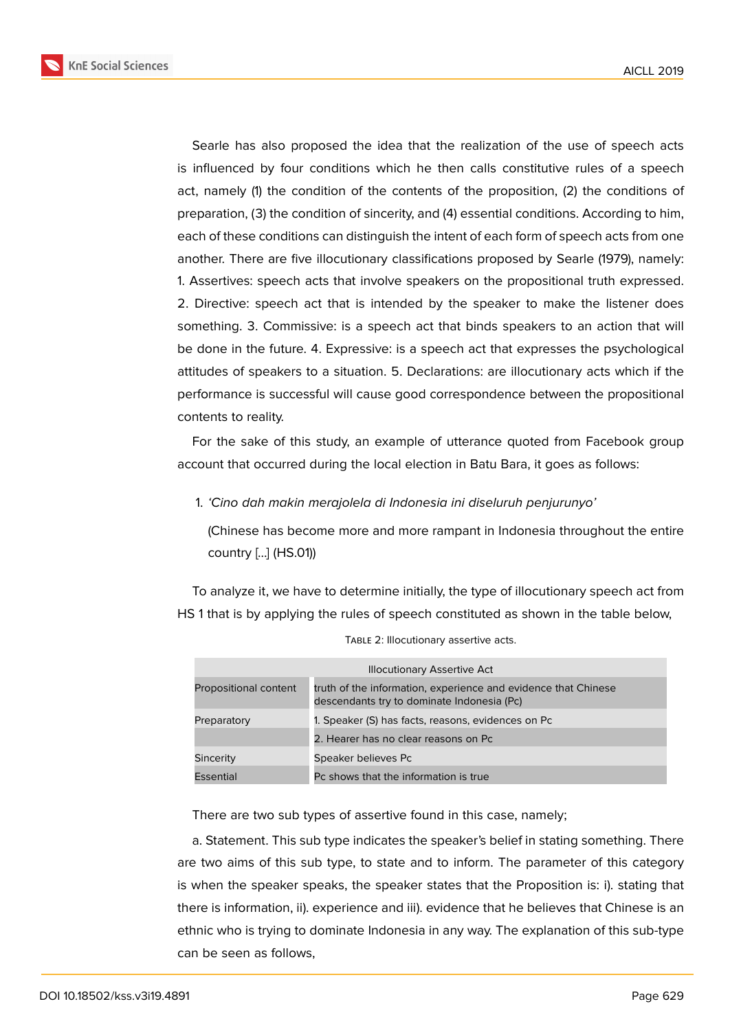

Searle has also proposed the idea that the realization of the use of speech acts is influenced by four conditions which he then calls constitutive rules of a speech act, namely (1) the condition of the contents of the proposition, (2) the conditions of preparation, (3) the condition of sincerity, and (4) essential conditions. According to him, each of these conditions can distinguish the intent of each form of speech acts from one another. There are five illocutionary classifications proposed by Searle (1979), namely: 1. Assertives: speech acts that involve speakers on the propositional truth expressed. 2. Directive: speech act that is intended by the speaker to make the listener does something. 3. Commissive: is a speech act that binds speakers to an action that will be done in the future. 4. Expressive: is a speech act that expresses the psychological attitudes of speakers to a situation. 5. Declarations: are illocutionary acts which if the performance is successful will cause good correspondence between the propositional contents to reality.

For the sake of this study, an example of utterance quoted from Facebook group account that occurred during the local election in Batu Bara, it goes as follows:

1. *'Cino dah makin merajolela di Indonesia ini diseluruh penjurunyo'*

(Chinese has become more and more rampant in Indonesia throughout the entire country [...] (HS.01))

To analyze it, we have to determine initially, the type of illocutionary speech act from HS 1 that is by applying the rules of speech constituted as shown in the table below,

| <b>Illocutionary Assertive Act</b> |                                                                                                              |
|------------------------------------|--------------------------------------------------------------------------------------------------------------|
| Propositional content              | truth of the information, experience and evidence that Chinese<br>descendants try to dominate Indonesia (Pc) |
| Preparatory                        | 1. Speaker (S) has facts, reasons, evidences on Pc                                                           |
|                                    | 2. Hearer has no clear reasons on Pc                                                                         |
| Sincerity                          | Speaker believes Pc                                                                                          |
| Essential                          | Pc shows that the information is true                                                                        |

TABLE 2: Illocutionary assertive acts.

There are two sub types of assertive found in this case, namely;

a. Statement. This sub type indicates the speaker's belief in stating something. There are two aims of this sub type, to state and to inform. The parameter of this category is when the speaker speaks, the speaker states that the Proposition is: i). stating that there is information, ii). experience and iii). evidence that he believes that Chinese is an ethnic who is trying to dominate Indonesia in any way. The explanation of this sub-type can be seen as follows,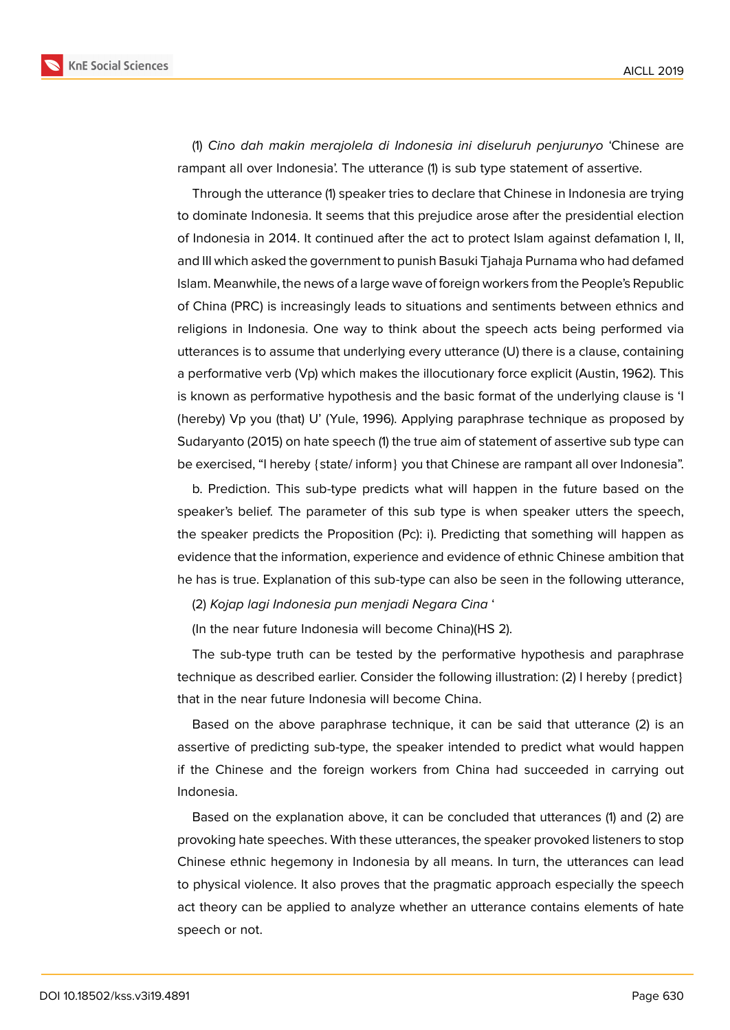

(1) *Cino dah makin merajolela di Indonesia ini diseluruh penjurunyo* 'Chinese are rampant all over Indonesia'. The utterance (1) is sub type statement of assertive.

Through the utterance (1) speaker tries to declare that Chinese in Indonesia are trying to dominate Indonesia. It seems that this prejudice arose after the presidential election of Indonesia in 2014. It continued after the act to protect Islam against defamation I, II, and III which asked the government to punish Basuki Tjahaja Purnama who had defamed Islam. Meanwhile, the news of a large wave of foreign workers from the People's Republic of China (PRC) is increasingly leads to situations and sentiments between ethnics and religions in Indonesia. One way to think about the speech acts being performed via utterances is to assume that underlying every utterance (U) there is a clause, containing a performative verb (Vp) which makes the illocutionary force explicit (Austin, 1962). This is known as performative hypothesis and the basic format of the underlying clause is 'I (hereby) Vp you (that) U' (Yule, 1996). Applying paraphrase technique as proposed by Sudaryanto (2015) on hate speech (1) the true aim of statement of assertive sub type can be exercised, "I hereby {state/ inform} you that Chinese are rampant all over Indonesia".

b. Prediction. This sub-type predicts what will happen in the future based on the speaker's belief. The parameter of this sub type is when speaker utters the speech, the speaker predicts the Proposition (Pc): i). Predicting that something will happen as evidence that the information, experience and evidence of ethnic Chinese ambition that he has is true. Explanation of this sub-type can also be seen in the following utterance,

(2) *Kojap lagi Indonesia pun menjadi Negara Cina* '

(In the near future Indonesia will become China)(HS 2).

The sub-type truth can be tested by the performative hypothesis and paraphrase technique as described earlier. Consider the following illustration: (2) I hereby {predict} that in the near future Indonesia will become China.

Based on the above paraphrase technique, it can be said that utterance (2) is an assertive of predicting sub-type, the speaker intended to predict what would happen if the Chinese and the foreign workers from China had succeeded in carrying out Indonesia.

Based on the explanation above, it can be concluded that utterances (1) and (2) are provoking hate speeches. With these utterances, the speaker provoked listeners to stop Chinese ethnic hegemony in Indonesia by all means. In turn, the utterances can lead to physical violence. It also proves that the pragmatic approach especially the speech act theory can be applied to analyze whether an utterance contains elements of hate speech or not.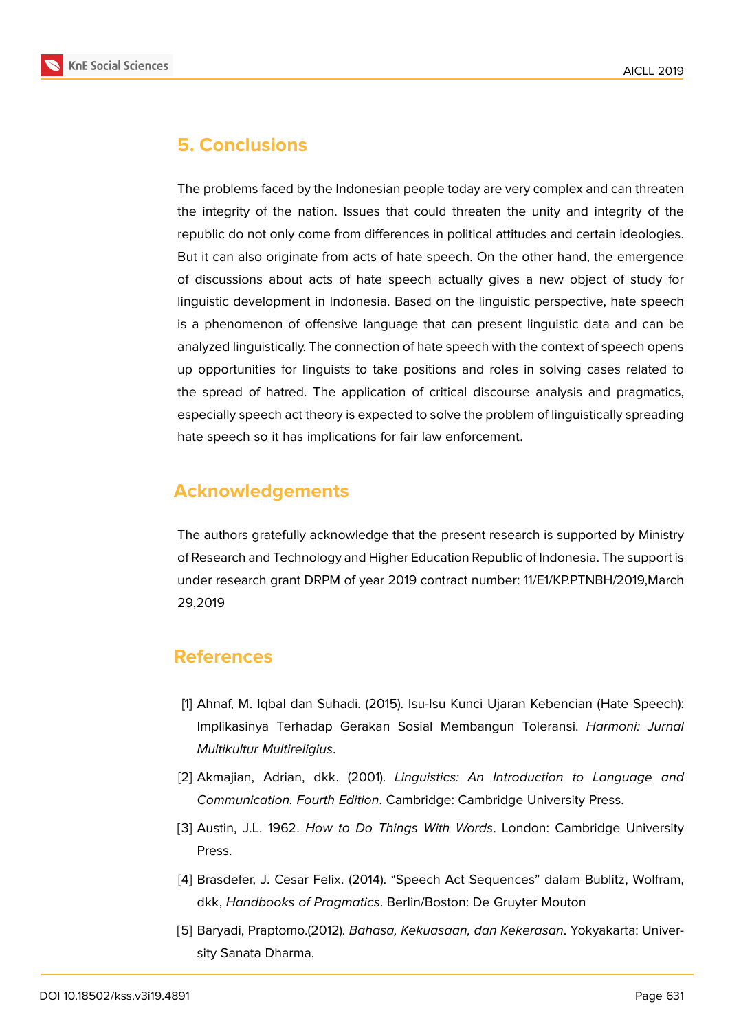

## **5. Conclusions**

The problems faced by the Indonesian people today are very complex and can threaten the integrity of the nation. Issues that could threaten the unity and integrity of the republic do not only come from differences in political attitudes and certain ideologies. But it can also originate from acts of hate speech. On the other hand, the emergence of discussions about acts of hate speech actually gives a new object of study for linguistic development in Indonesia. Based on the linguistic perspective, hate speech is a phenomenon of offensive language that can present linguistic data and can be analyzed linguistically. The connection of hate speech with the context of speech opens up opportunities for linguists to take positions and roles in solving cases related to the spread of hatred. The application of critical discourse analysis and pragmatics, especially speech act theory is expected to solve the problem of linguistically spreading hate speech so it has implications for fair law enforcement.

### **Acknowledgements**

The authors gratefully acknowledge that the present research is supported by Ministry of Research and Technology and Higher Education Republic of Indonesia. The support is under research grant DRPM of year 2019 contract number: 11/E1/KP.PTNBH/2019,March 29,2019

### **References**

- [1] Ahnaf, M. Iqbal dan Suhadi. (2015). Isu-Isu Kunci Ujaran Kebencian (Hate Speech): Implikasinya Terhadap Gerakan Sosial Membangun Toleransi. *Harmoni: Jurnal Multikultur Multireligius*.
- [2] Akmajian, Adrian, dkk. (2001). *Linguistics: An Introduction to Language and Communication. Fourth Edition*. Cambridge: Cambridge University Press.
- [3] Austin, J.L. 1962. *How to Do Things With Words*. London: Cambridge University Press.
- [4] Brasdefer, J. Cesar Felix. (2014). "Speech Act Sequences" dalam Bublitz, Wolfram, dkk, *Handbooks of Pragmatics*. Berlin/Boston: De Gruyter Mouton
- [5] Baryadi, Praptomo.(2012). *Bahasa, Kekuasaan, dan Kekerasan*. Yokyakarta: University Sanata Dharma.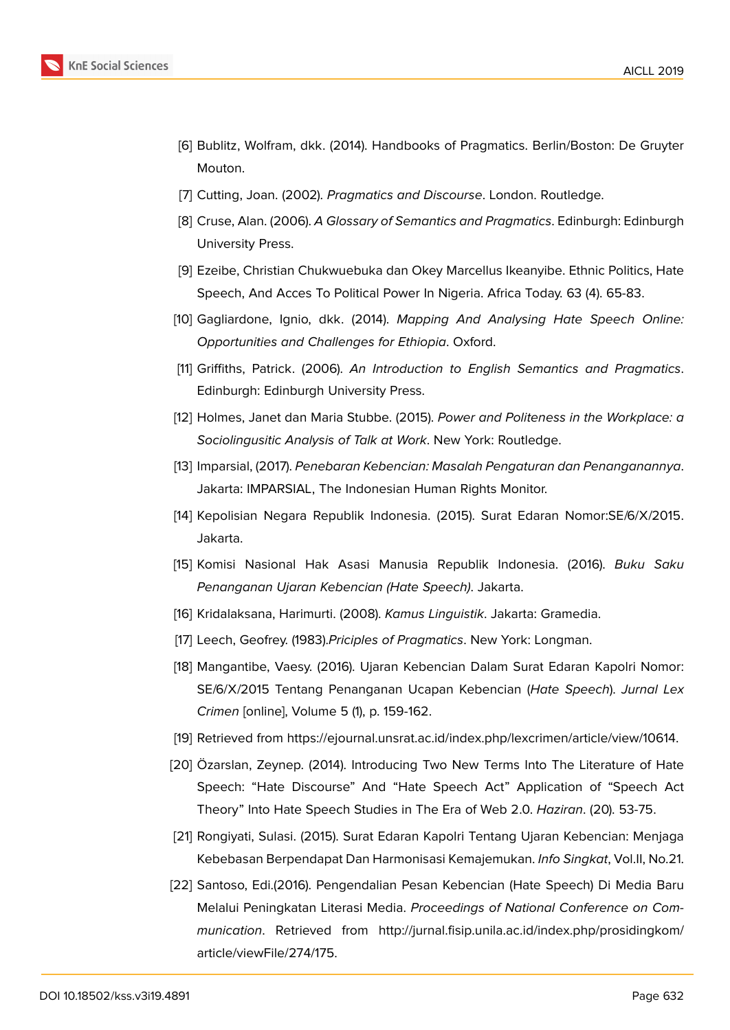- [6] Bublitz, Wolfram, dkk. (2014). Handbooks of Pragmatics. Berlin/Boston: De Gruyter Mouton.
- [7] Cutting, Joan. (2002). *Pragmatics and Discourse*. London. Routledge.
- [8] Cruse, Alan. (2006). *A Glossary of Semantics and Pragmatics*. Edinburgh: Edinburgh University Press.
- [9] Ezeibe, Christian Chukwuebuka dan Okey Marcellus Ikeanyibe. Ethnic Politics, Hate Speech, And Acces To Political Power In Nigeria. Africa Today. 63 (4). 65-83.
- [10] Gagliardone, Ignio, dkk. (2014). *Mapping And Analysing Hate Speech Online: Opportunities and Challenges for Ethiopia*. Oxford.
- [11] Griffiths, Patrick. (2006). *An Introduction to English Semantics and Pragmatics*. Edinburgh: Edinburgh University Press.
- [12] Holmes, Janet dan Maria Stubbe. (2015). *Power and Politeness in the Workplace: a Sociolingusitic Analysis of Talk at Work*. New York: Routledge.
- [13] Imparsial, (2017). *Penebaran Kebencian: Masalah Pengaturan dan Penanganannya*. Jakarta: IMPARSIAL, The Indonesian Human Rights Monitor.
- [14] Kepolisian Negara Republik Indonesia. (2015). Surat Edaran Nomor:SE/6/X/2015. Jakarta.
- [15] Komisi Nasional Hak Asasi Manusia Republik Indonesia. (2016). *Buku Saku Penanganan Ujaran Kebencian (Hate Speech)*. Jakarta.
- [16] Kridalaksana, Harimurti. (2008). *Kamus Linguistik*. Jakarta: Gramedia.
- [17] Leech, Geofrey. (1983).*Priciples of Pragmatics*. New York: Longman.
- [18] Mangantibe, Vaesy. (2016). Ujaran Kebencian Dalam Surat Edaran Kapolri Nomor: SE/6/X/2015 Tentang Penanganan Ucapan Kebencian (*Hate Speech*). *Jurnal Lex Crimen* [online], Volume 5 (1), p. 159-162.
- [19] Retrieved from https://ejournal.unsrat.ac.id/index.php/lexcrimen/article/view/10614.
- [20] Özarslan, Zeynep. (2014). Introducing Two New Terms Into The Literature of Hate Speech: "Hate Discourse" And "Hate Speech Act" Application of "Speech Act Theory" Into H[ate Speech Studies in The Era of Web 2.0.](https://ejournal.unsrat.ac.id/index.php/lexcrimen/article/view/10614) *Haziran*. (20). 53-75.
- [21] Rongiyati, Sulasi. (2015). Surat Edaran Kapolri Tentang Ujaran Kebencian: Menjaga Kebebasan Berpendapat Dan Harmonisasi Kemajemukan. *Info Singkat*, Vol.II, No.21.
- [22] Santoso, Edi.(2016). Pengendalian Pesan Kebencian (Hate Speech) Di Media Baru Melalui Peningkatan Literasi Media. *Proceedings of National Conference on Communication*. Retrieved from http://jurnal.fisip.unila.ac.id/index.php/prosidingkom/ article/viewFile/274/175.